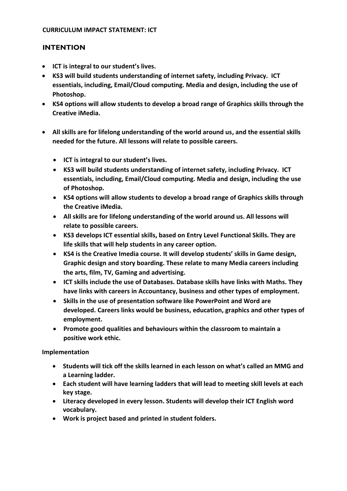## **CURRICULUM IMPACT STATEMENT: ICT**

## **INTENTION**

- **ICT is integral to our student's lives.**
- **KS3 will build students understanding of internet safety, including Privacy. ICT essentials, including, Email/Cloud computing. Media and design, including the use of Photoshop.**
- **KS4 options will allow students to develop a broad range of Graphics skills through the Creative iMedia.**
- **All skills are for lifelong understanding of the world around us, and the essential skills needed for the future. All lessons will relate to possible careers.** 
	- **ICT is integral to our student's lives.**
	- **KS3 will build students understanding of internet safety, including Privacy. ICT essentials, including, Email/Cloud computing. Media and design, including the use of Photoshop.**
	- **KS4 options will allow students to develop a broad range of Graphics skills through the Creative iMedia.**
	- **All skills are for lifelong understanding of the world around us. All lessons will relate to possible careers.**
	- **KS3 develops ICT essential skills, based on Entry Level Functional Skills. They are life skills that will help students in any career option.**
	- **KS4 is the Creative Imedia course. It will develop students' skills in Game design, Graphic design and story boarding. These relate to many Media careers including the arts, film, TV, Gaming and advertising.**
	- **ICT skills include the use of Databases. Database skills have links with Maths. They have links with careers in Accountancy, business and other types of employment.**
	- **Skills in the use of presentation software like PowerPoint and Word are developed. Careers links would be business, education, graphics and other types of employment.**
	- **Promote good qualities and behaviours within the classroom to maintain a positive work ethic.**

**Implementation** 

- **Students will tick off the skills learned in each lesson on what's called an MMG and a Learning ladder.**
- **Each student will have learning ladders that will lead to meeting skill levels at each key stage.**
- **Literacy developed in every lesson. Students will develop their ICT English word vocabulary.**
- **Work is project based and printed in student folders.**